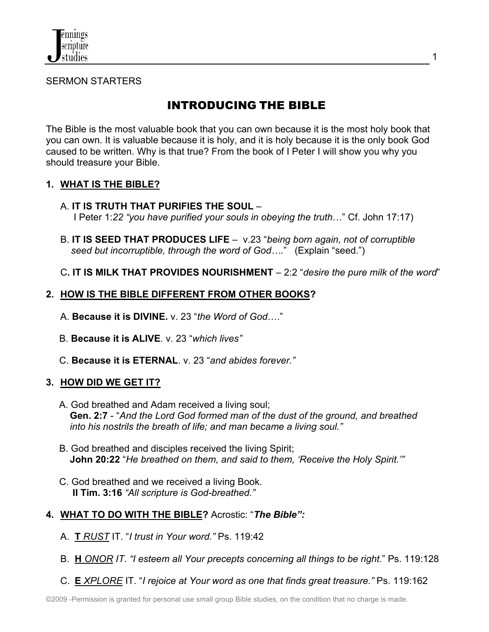

SERMON STARTERS

# INTRODUCING THE BIBLE

The Bible is the most valuable book that you can own because it is the most holy book that you can own. It is valuable because it is holy, and it is holy because it is the only book God caused to be written. Why is that true? From the book of I Peter I will show you why you should treasure your Bible.

### **1. WHAT IS THE BIBLE?**

- A. **IT IS TRUTH THAT PURIFIES THE SOUL** I Peter 1:*22 "you have purified your souls in obeying the truth*…" Cf. John 17:17)
- B. **IT IS SEED THAT PRODUCES LIFE** v.23 "*being born again, not of corruptible seed but incorruptible, through the word of God….*" (Explain "seed.")
- C**. IT IS MILK THAT PROVIDES NOURISHMENT**  2:2 "*desire the pure milk of the word*"

## **2. HOW IS THE BIBLE DIFFERENT FROM OTHER BOOKS?**

- A. **Because it is DIVINE.** v. 23 "*the Word of God*…."
- B. **Because it is ALIVE**. v. 23 "*which lives"*
- C. **Because it is ETERNAL**. v. 23 "*and abides forever."*

### **3. HOW DID WE GET IT?**

- A. God breathed and Adam received a living soul; **Gen. 2:7** - "*And the Lord God formed man of the dust of the ground, and breathed into his nostrils the breath of life; and man became a living soul."*
- **B.** God breathed and disciples received the living Spirit; **John 20:22** "*He breathed on them, and said to them, 'Receive the Holy Spirit.'"*
- C. God breathed and we received a living Book. **II Tim. 3:16** *"All scripture is God-breathed."*
- **4. WHAT TO DO WITH THE BIBLE?** Acrostic: "*The Bible":*
	- A. **T** *RUST* IT. "*I trust in Your word."* Ps. 119:42
	- B. **H** *ONOR IT. "I esteem all Your precepts concerning all things to be right*." Ps. 119:128
	- C. **E** *XPLORE* IT. "*I rejoice at Your word as one that finds great treasure."* Ps. 119:162